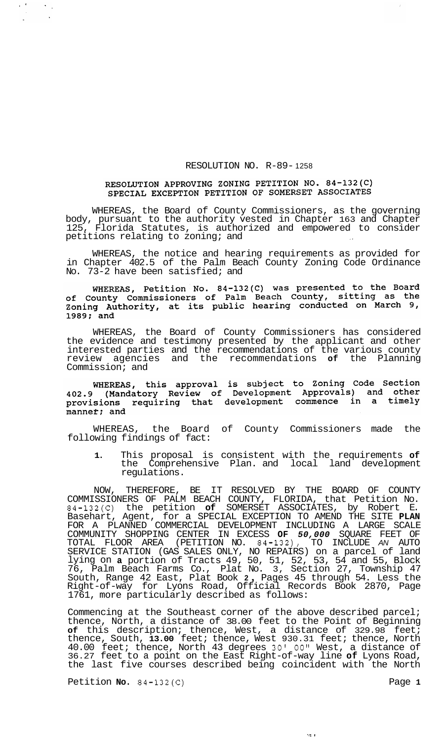## RESOLUTION NO. R-89- 1258

## RESOLUTION APPROVING ZONING PETITION NO. 84-132(C) SPECIAL EXCEPTION PETITION OF SOMERSET ASSOCIATES

WHEREAS, the Board of County Commissioners, as the governing body, pursuant to the authority vested in Chapter 163 and Chapter Florida Statutes, is authorized and empowered to consider petitions relating to zoning; and

WHEREAS, the notice and hearing requirements as provided for in Chapter 402.5 of the Palm Beach County Zoning Code Ordinance No. 73-2 have been satisfied; and

WHEREAS, Petition No.  $84-132$  (C) was presented to the Board of County Commissioners of Palm Beach County, sitting as the<br>Zoning Authority, at its public hearing conducted on March 9, 1989; and

WHEREAS, the Board of County Commissioners has considered the evidence and testimony presented by the applicant and other interested parties and the recommendations of the various county review agencies and the recommendations **of** the Planning Commission; and

WHEREAS, this approval is subject to Zoning Code Section<br>402.9 (Mandatory Review of Development Approvals) and other provisions requiring that development commence in a timely manner; and

WHEREAS, the Board of County Commissioners made the following findings of fact:

**1.** This proposal is consistent with the requirements **of**  the Comprehensive Plan. and local land development regulations.

NOW, THEREFORE, BE IT RESOLVED BY THE BOARD OF COUNTY COMMISSIONERS OF PALM BEACH COUNTY, FLORIDA, that Petition No. 84-132(C) the petition **of** SOMERSET ASSOCIATES, by Robert E. Basehart, Agent, for a SPECIAL EXCEPTION TO AMEND THE SITE **PLAN**  FOR A PLANNED COMMERCIAL DEVELOPMENT INCLUDING A LARGE SCALE COMMUNITY SHOPPING CENTER IN EXCESS **OF** *50,000* SQUARE FEET OF TOTAL FLOOR AREA (PETITION NO. 84-132), TO INCLUDE *AN* AUTO SERVICE STATION (GAS SALES ONLY, NO REPAIRS) on a parcel of land lying on **a** portion of Tracts 49, 50, 51, 52, 53, 54 and 55, Block 76, Palm Beach Farms Co., Plat No. 3, Section 27, Township 47 South, Range 42 East, Plat Book **2** , Pages 45 through 54. Less the Right-of-way for Lyons Road, Official Records Book 2870, Page 1761, more particularly described as follows:

Commencing at the Southeast corner of the above described parcel; thence, North, a distance of 38.00 feet to the Point of Beginning **of** this description; thence, West, a distance of 329.98 feet; thence, South, **13.00** feet; thence, West 930.31 feet; thence, North 40.00 feet; thence, North 43 degrees 30' *00"* West, a distance of 36.27 feet to a point on the East Right-of-way line **of** Lyons Road, the last five courses described being coincident with the North

 $\sim$   $\sigma$ 

Petition **No.** 84-132(C) Petition **Page 1** 

 $\langle \cdot \rangle_{\rm s}$  $\sim$   $\sim$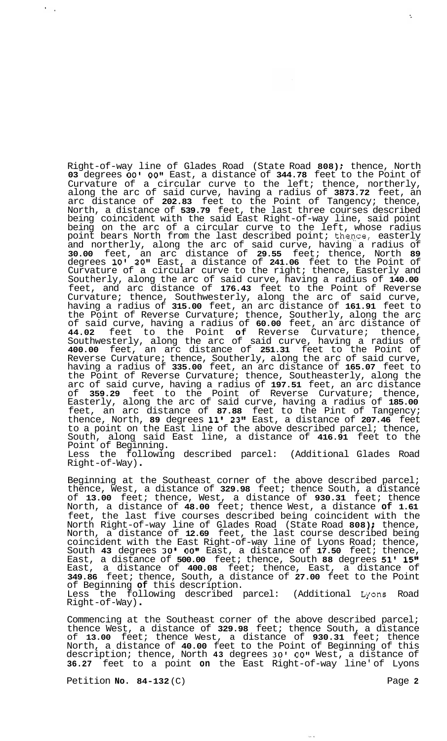Right-of-way line of Glades Road (State Road **808)** ; thence, North **03** degrees *00'* **OOtv** East, a distance of **344.78** feet to the Point of Curvature of a circular curve to the left; thence, northerly, along the arc of said curve, having a radius of **3873.72** feet, an arc distance of **202.83** feet to the Point of Tangency; thence, North, a distance of **539.79** feet, the last three courses described being coincident with the said East Right-of-way line, said point being on the arc of a circular curve to the left, whose radius point bears North from the last described point; then,ce, easterly and northerly, along the arc of said curve, having a radius of **30.00** feet, an arc distance of **29.55** feet; thence, North **89**  degrees **10' 20"** East, a distance of **241.06** feet to the Point of Curvature of a circular curve to the right; thence, Easterly and Southerly, along the arc of said curve, having a radius of **140.00**  feet, and arc distance of **176.43** feet to the Point of Reverse Curvature; thence, Southwesterly, along the arc of said curve, having a radius of **315.00** feet, an arc distance of **161.91** feet to the Point of Reverse Curvature; thence, Southerly, along the arc of said curve, having a radius of **60.00** feet, an arc distance of **44.02** feet to the Point **of** Reverse Curvature; thence, Southwesterly, along the arc of said curve, having a radius of **400.00** feet, an arc distance of **251.31** feet to the Point of Reverse Curvature; thence, Southerly, along the arc of said curve, having a radius of **335.00** feet, an arc distance of **165.07** feet to the Point of Reverse Curvature; thence, Southeasterly, along the arc of said curve, having a radius of **197.51** feet, an arc distance of **359.29** feet to the Point of Reverse Curvature; thence, Easterly, along the arc of said curve, having a radius of **185.00**  feet, an arc distance of **87.88** feet to the Pint of Tangency; thence, North, **89** degrees **11' 23"** East, a distance of **207.46** feet to a point on the East line of the above described parcel; thence, South, along said East line, a distance of **416.91** feet to the Point of Beginning. Less the following described parcel: (Additional Glades Road Right-of -Way) .

Beginning at the Southeast corner of the above described parcel; thence, West, a distance of **329.98** feet; thence South, a distance of **13.00** feet; thence, West, a distance of **930.31** feet; thence North, a distance of **48.00** feet; thence West, a distance **of 1.61**  feet, the last five courses described being coincident with the North Right-of-way line of Glades Road (State Road **808)** ; thence, North, a distance of **12.69** feet, the last course described being coincident with the East Right-of-way line of Lyons Road; thence, South **43** degrees **30' OOvl** East, a distance of **17.50** feet; thence, East, a distance of **500.00** feet; thence, South **88** degrees **51' 15"**  East, a distance of **400.08** feet; thence, East, a distance of **349.86** feet; thence, South, a distance of **27.00** feet to the Point of Beginning **of** this description. Less the following described parcel: (Additional tyons Road Right-of -Way) .

Commencing at the Southeast corner of the above described parcel; thence West, a distance of **329.98** feet; thence South, a distance of **13.00** feet; thence West, a distance of **930.31** feet; thence North, a distance of **40.00** feet to the Point of Beginning of this description; thence, North **43** degrees **30'** *00"* West, a distance of **36.27** feet to a point **on** the East Right-of-way line' of Lyons

Petition **No.** 84-132 (C) Page 2

 $\epsilon_{\rm{max}}$ 

÷.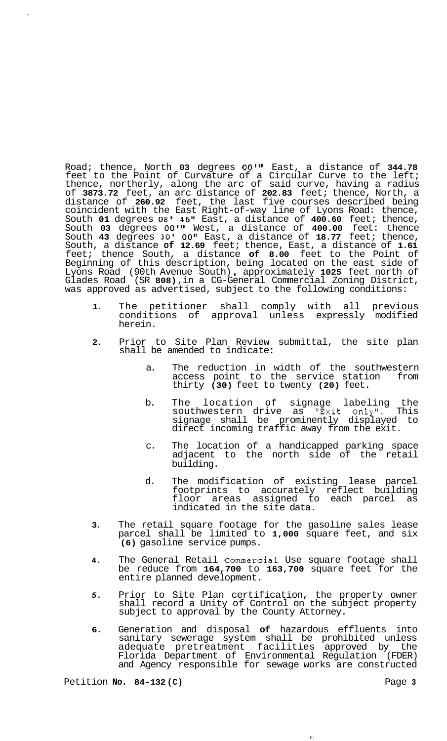Road; thence, North **03** degrees **O0lt1** East, a distance of **344.78**  feet to the Point of Curvature of a Circular Curve to the left; thence, northerly, along the arc of said curve, having a radius of **3873.72** feet, an arc distance of **202.83** feet; thence, North, a distance of **260.92** feet, the last five courses described being coincident with the East Right-of-way line of Lyons Road: thence, South **01** degrees **08' 46"** East, a distance of **400.60** feet; thence, South **03** degrees **OOvtt** West, a distance of **400.00** feet: thence South **43** degrees **30' OOtt** East, a distance of **18.77** feet; thence, South, a distance **of 12.69** feet; thence, East, a distance of **1.61**  feet; thence South, a distance **of 8.00** feet to the Point of Beginning of this description, being located on the east side of Lyons Road (90th Avenue South) , approximately **1025** feet north of Glades Road (SR **808)** ,in a CG-General Commercial Zoning District, was approved as advertised, subject to the following conditions:

- **1.** The petitioner shall comply with all previous conditions of approval unless expressly modified herein.
- **2.** Prior to Site Plan Review submittal, the site plan shall be amended to indicate:
	- a. The reduction in width of the southwestern access point to the service station from thirty **(30)** feet to twenty **(20)** feet.
	- b. The location of signage labeling the southwestern drive as "Exit Only". This signage shall be prominently displayed to direct incoming traffic away from the exit.
	- c. The location of a handicapped parking space adjacent to the north side of the retail building.
	- d. The modification of existing lease parcel footprints to accurately reflect building floor areas assigned to each parcel as indicated in the site data.
- **3.** The retail square footage for the gasoline sales lease parcel shall be limited to **1,000** square feet, and six **(6)** gasoline service pumps.
- **4.** The General Retail Commercial Use square footage shall be reduce from **164,700** to **163,700** square feet for the entire planned development.
- *5.* Prior to Site Plan certification, the property owner shall record a Unity of Control on the subject property subject to approval by the County Attorney.
- **6.** Generation and disposal **of** hazardous effluents into sanitary sewerage system shall be prohibited unless adequate pretreatment facilities approved by the Florida Department of Environmental Regulation (FDER) and Agency responsible for sewage works are constructed

 $\theta$  .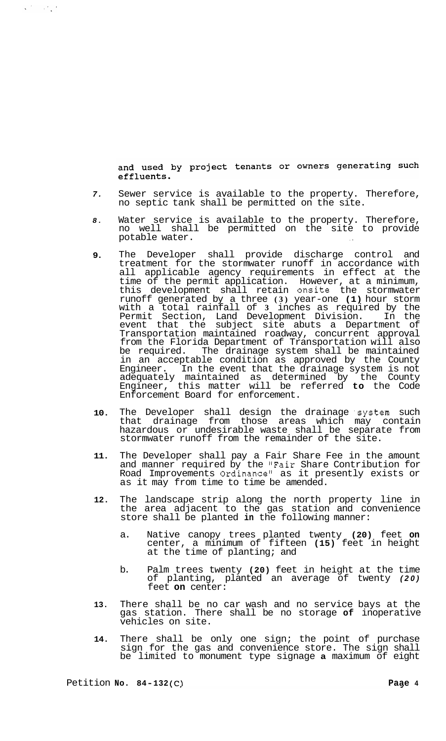and used by project tenants or owners generating such effluents.

- *7.*  Sewer service is available to the property. Therefore, no septic tank shall be permitted on the site.
- *8.*  Water service is available to the property. Therefore, no well shall be permitted on the site to provide potable water.
- **9.**  The Developer shall provide discharge control and treatment for the stormwater runoff in accordance with all applicable agency requirements in effect at the time of the permit application. However, at a minimum, this development shall retain onsite the stormwater runoff generated by a three **(3)** year-one **(1)** hour storm with a total rainfall of **3** inches as required by the Permit Section, Land Development Division. In the event that the subject site abuts a Department of Transportation maintained roadway, concurrent approval from the Florida Department of Transportation will also be required. The drainage system shall be maintained in an acceptable condition as approved by the County Engineer. In the event that the drainage system is not adequately maintained as determined by the County Engineer, this matter will be referred **to** the Code Enforcement Board for enforcement.
- **10.**  The Developer shall design the drainage system such that drainage from those areas which may contain hazardous or undesirable waste shall be separate from stormwater runoff from the remainder of the site.
- **11.**  The Developer shall pay a Fair Share Fee in the amount and manner required by the "Fair Share Contribution for Road Improvements Ordinance" as it presently exists or as it may from time to time be amended.
- **12.**  The landscape strip along the north property line in the area adjacent to the gas station and convenience store shall be planted **in** the following manner:
	- a. Native canopy trees planted twenty **(20)** feet **on**  center, a minimum of fifteen **(15)** feet in height at the time of planting; and
	- b. Palm trees twenty **(20)** feet in height at the time of planting, planted an average of twenty *(20)*  feet **on** center:
- **13.**  There shall be no car wash and no service bays at the gas station. There shall be no storage **of** inoperative vehicles on site.
- **14.**  There shall be only one sign; the point of purchase sign for the gas and convenience store. The sign shall be limited to monument type signage **a** maximum of eight

 $\mathbf{v}^{(k)}$  and  $\mathbf{v}^{(k)}$